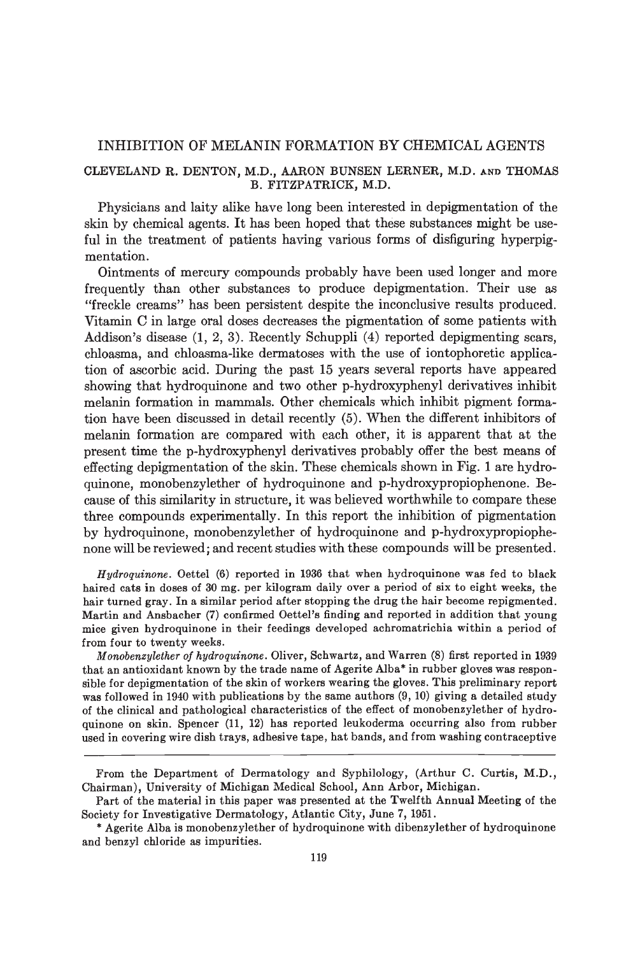# INHIBITION OF MELANIN FORMATION BY CHEMICAL AGENTS

## CLEVELAND R. DENTON, M.D., AARON BUNSEN LERNER, M.D. AND THOMAS B. FITZPATRICK, M.D.

Physicians and laity alike have long been interested in depigmentation of the skin by chemical agents. It has been hoped that these substances might be useful in the treatment of patients having various forms of disfiguring hyperpigmentation.

Ointments of mercury compounds probably have been used longer and more frequently than other substances to produce depigmentation. Their use as "freckle creams" has been persistent despite the inconclusive results produced. Vitamin C in large oral doses decreases the pigmentation of some patients with Addison's disease (1, 2, 3). Recently Schuppli (4) reported depigmenting scars, chloasma, and chloasma-like dermatoses with the use of iontophoretic application of ascorbic acid. During the past 15 years several reports have appeared showing that hydroquinone and two other p-hydroxyphenyl derivatives inhibit melanin formation in mammals. Other chemicals which inhibit pigment formation have been discussed in detail recently (5). When the different inhibitors of melanin formation are compared with each other, it is apparent that at the present time the p-hydroxyphenyl derivatives probably offer the best means of effecting depigmentation of the skin. These chemicals shown in Fig. 1 are hydroquinone, monobenzylether of hydroquinone and p-hydroxypropiophenone. Because of this similarity in structure, it was believed worthwhile to compare these three compounds experimentally. In this report the inhibition of pigmentation by hydroquinone, monobenzylether of hydroquinone and p-hydroxypropiophenone will be reviewed; and recent studies with these compounds will be presented.

Hydroquinone. Oettel (6) reported in 1936 that when hydroquinone was fed to black haired cats in doses of 30 mg. per kilogram daily over a period of six to eight weeks, the hair turned gray. In a similar period after stopping the drug the hair become repigmented. Martin and Ansbacher (7) confirmed Oettel's finding and reported in addition that young mice given hydroquinone in their feedings developed achromatrichia within a period of from four to twenty weeks.

Monobenzylether of hydroquinone. Oliver, Schwartz, and Warren (8) first reported in 1939 that an antioxidant known by the trade name of Agerite AIba\* in rubber gloves was responsible for depigmentation of the skin of workers wearing the gloves. This preliminary report was followed in 1940 with publications by the same authors (9, 10) giving a detailed study of the clinical and pathological characteristics of the effect of monobenzylether of hydroquinone on skin. Spencer (11, 12) has reported leukoderma occurring also from rubber used in covering wire dish trays, adhesive tape, hat bands, and from washing contraceptive

From the Department of Dermatology and Syphilology, (Arthur C. Curtis, M.D., Chairman), University of Michigan Medical School, Ann Arbor, Michigan.

Part of the material in this paper was presented at the Twelfth Annual Meeting of the Society for Investigative Dermatology, Atlantic City, June 7, 1951. \* AgeriteAlba is monobenzylether of hydroquinone with dibenzylether of hydroquinone

and benzyl chloride as impurities.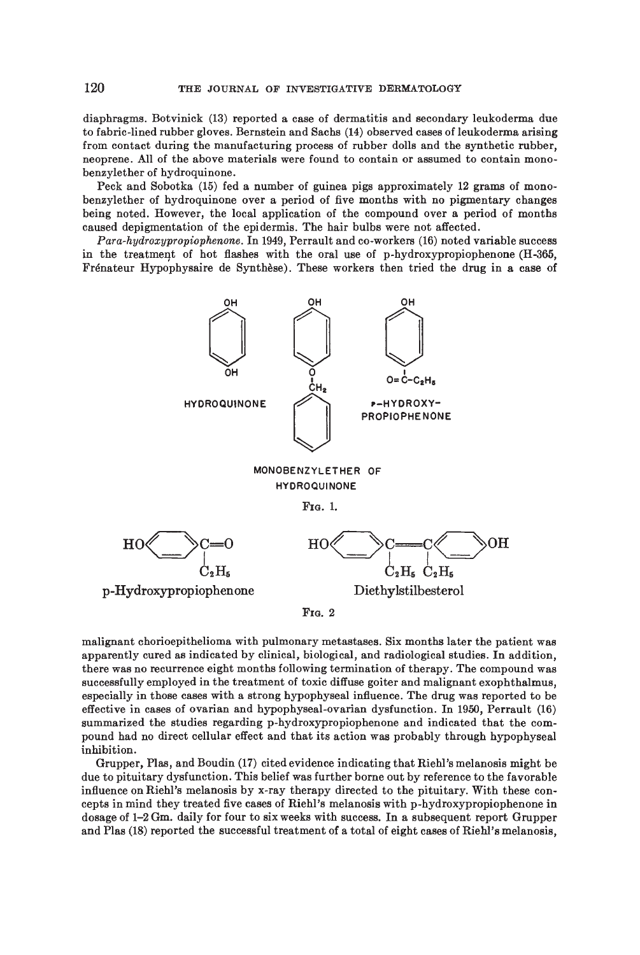diaphragms. Botvinick (13) reported a case of dermatitis and secondary leukoderma due to fabric-lined rubber gloves. Bernstein and Sachs (14) observed cases of leukoderma arising from contact during the manufacturing process of rubber dolls and the synthetic rubber, neoprene. All of the above materials were found to contain or assumed to contain monobenzylether of hydroquinone.<br>Peck and Sobotka (15) fed a number of guinea pigs approximately 12 grams of mono-

benzylether of hydroquinone over a period of five months with no pigmentary changes being noted. However, the local application of the compound over a period of months caused depigmentation of the epidermis. The hair bulbs were not affected.

Para-hydroxypropiophenone. In 1949, Perrault and co-workers (16) noted variable success in the treatment of hot flashes with the oral use of  $p$ -hydroxypropiophenone (H-365, Frénateur Hypophysaire de Synthèse). These workers then tried the drug in a case of



FIG. 2

malignant chorioepithelioma with pulmonary metastases. Six months later the patient was apparently cured as indicated by clinical, biological, and radiological studies. In addition, there was no recurrence eight months following termination of therapy. The compound was successfully employed in the treatment of toxic diffuse goiter and malignant exophthalmus, especially in those cases with a strong hypophyseal influence. The drug was reported to be effective in cases of ovarian and hypophyseal-ovarian dysfunction. In 1950, Perrault (16) summarized the studies regarding p-hydroxypropiophenone and indicated that the compound had no direct cellular effect and that its action was probably through hypophyseal inhibition.

Grupper, Plas, and Boudin (17) cited evidence indicating that Riehl's melanosis might be due to pituitary dysfunction. This belief was further borne out by reference to the favorable influence on Riehl's melanosis by x-ray therapy directed to the pituitary. With these concepts in mind they treated five cases of Riehl's melanosis with p-hydroxypropiophenone in dosage of 1—2 Gm. daily for four to six weeks with success. In a subsequent report Grupper and Plas (18) reported the successful treatment of a total of eight cases of Riehl's melanosis,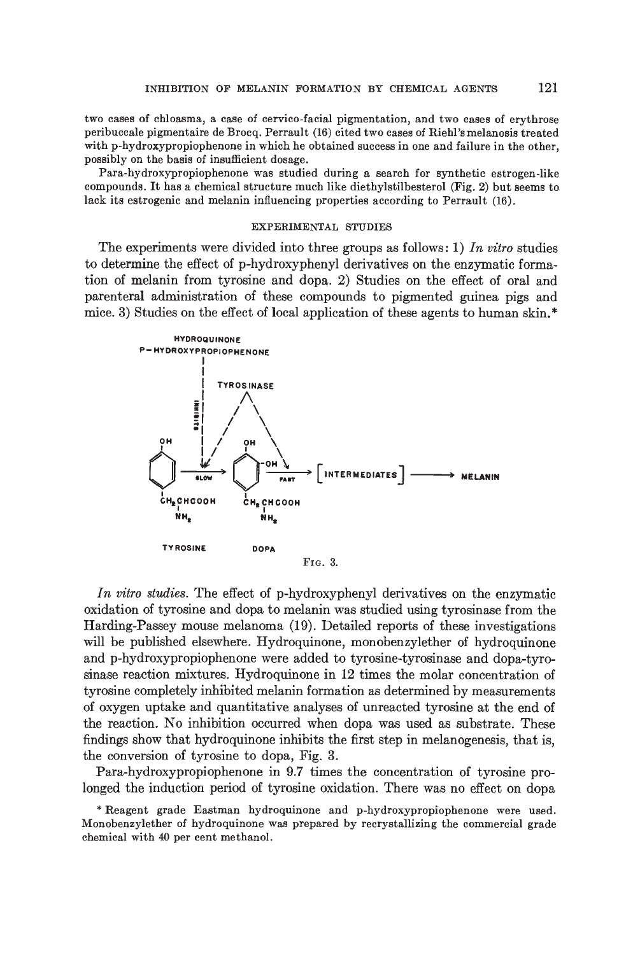two eases of chloasma, a case of cervico-facial pigmentation, and two cases of erythrose peribuccale pigmentaire de Brocq. Perrault (16) cited two cases of Riehi's melanosis treated with p-hydroxypropiophenone in which he obtained success in one and failure in the other, possibly on the basis of insufficient dosage.

Para-hydroxypropiophenone was studied during a search for synthetic estrogen-like compounds. It has a chemical structure much like diethylstilbesterol (Fig. 2) but seems to lack its estrogenic and melanin influencing properties according to Perrault (16).

#### EXPERIMENTAL STUDIES

The experiments were divided into three groups as follows: 1) In vitro studies to determine the effect of p-hydroxyphenyl derivatives on the enzymatic formation of melanin from tyrosine and dopa. 2) Studies on the effect of oral and parenteral administration of these compounds to pigmented guinea pigs and mice. 3) Studies on the effect of local application of these agents to human skin.\*



In vitro studies. The effect of p-hydroxyphenyl derivatives on the enzymatic oxidation of tyrosine and dopa to melanin was studied using tyrosinase from the Harding-Passey mouse melanoma (19). Detailed reports of these investigations will be published elsewhere. Hydroquinone, monobenzylether of hydroquinone and p-hydroxypropiophenone were added to tyrosine-tyrosinase and dopa-tyrosinase reaction mixtures. Hydroquinone in 12 times the molar concentration of tyrosine completely inhibited melanin formation as determined by measurements of oxygen uptake and quantitative analyses of unreacted tyrosine at the end of the reaction. No inhibition occurred when dopa was used as substrate. These findings show that hydroquinone inhibits the first step in melanogenesis, that is, the conversion of tyrosine to dopa, Fig. 3.

Para-hydroxypropiophenone in 9.7 times the concentration of tyrosine prolonged the induction period of tyrosine oxidation. There was no effect on dopa

\* Reagent grade Eastman hydroquinone and p-hydroxypropiophenone were used. Monobenzylether of hydroquinone was prepared by recrystallizing the commercial grade chemical with 40 per cent methanol.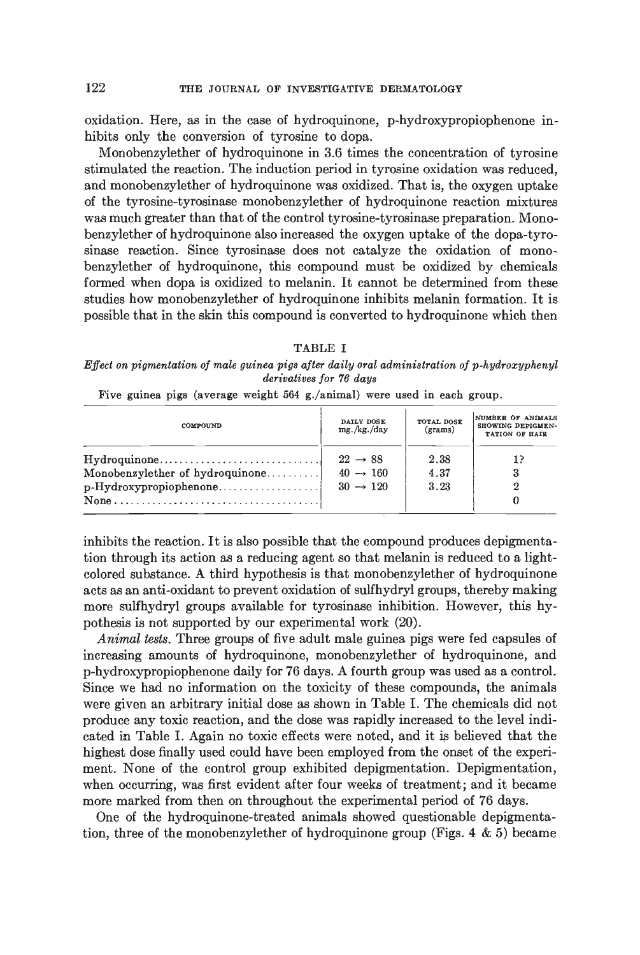oxidation. Here, as in the case of hydroquinone, p-hydroxypropiophenone inhibits only the conversion of tyrosine to dopa.

Monobenzylether of hydroquinone in 3.6 times the concentration of tyrosine stimulated the reaction. The induction period in tyrosine oxidation was reduced, and monobenzylether of hydroquinone was oxidized. That is, the oxygen uptake of the tyrosine-tyrosinase monobenzylether of hydroquinone reaction mixtures was much greater than that of the control tyrosine-tyrosinase preparation. Monobenzylether of hydroquinone also increased the oxygen uptake of the dopa-tyrosinase reaction. Since tyrosinase does not catalyze the oxidation of monobenzylether of hydroquinone, this compound must be oxidized by chemicals formed when dopa is oxidized to melanin. It cannot be determined from these studies how monobenzylether of hydroquinone inhibits melanin formation. It is possible that in the skin this compound is converted to hydroquinone which then

TABLE I

Effect on pigmentation of male guinea pigs after daily oral administration of p-hydroxyphenyl derivatives for 76 days

| Five guinea pigs (average weight 564 g./animal) were used in each group. |  |  |  |  |
|--------------------------------------------------------------------------|--|--|--|--|
|--------------------------------------------------------------------------|--|--|--|--|

| COMPOUND                                                    | DAILY DOSE<br>mg./kg./day                                           | TOTAL DOSE<br>$(grams)$ | NUMBER OF ANIMALS<br>SHOWING DEPIGMEN-<br>TATION OF HAIR |
|-------------------------------------------------------------|---------------------------------------------------------------------|-------------------------|----------------------------------------------------------|
| Monobenzylether of hydroquinone<br>$p-Hydroxypropiophenone$ | $22 \rightarrow 88$<br>$40 \rightarrow 160$<br>$30 \rightarrow 120$ | 2.38<br>4.37<br>3.23    |                                                          |

inhibits the reaction. It is also possible that the compound produces depigmentation through its action as a reducing agent so that melanin is reduced to a lightcolored substance. A third hypothesis is that monobenzylether of hydroquinone acts as an anti-oxidant to prevent oxidation of sulfhydryl groups, thereby making more sulfhydryl groups available for tyrosinase inhibition. However, this hypothesis is not supported by our experimental work (20).

Animal tests. Three groups of five adult male guinea pigs were fed capsules of increasing amounts of hydroquinone, monobenzylether of hydroquinone, and p-hydroxypropiophenone daily for 76 days. A fourth group was used as a control. Since we had no information on the toxicity of these compounds, the animals were given an arbitrary initial dose as shown in Table I. The chemicals did not produce any toxic reaction, and the dose was rapidly increased to the level indicated in Table I. Again no toxic effects were noted, and it is believed that the highest dose finally used could have been employed from the onset of the experiment. None of the control group exhibited depigmentation. Depigmentation, when occurring, was first evident after four weeks of treatment; and it became more marked from then on throughout the experimental period of 76 days.

One of the hydroquinone-treated animals showed questionable depigmentation, three of the monobenzylether of hydroquinone group (Figs.  $4 \& 5$ ) became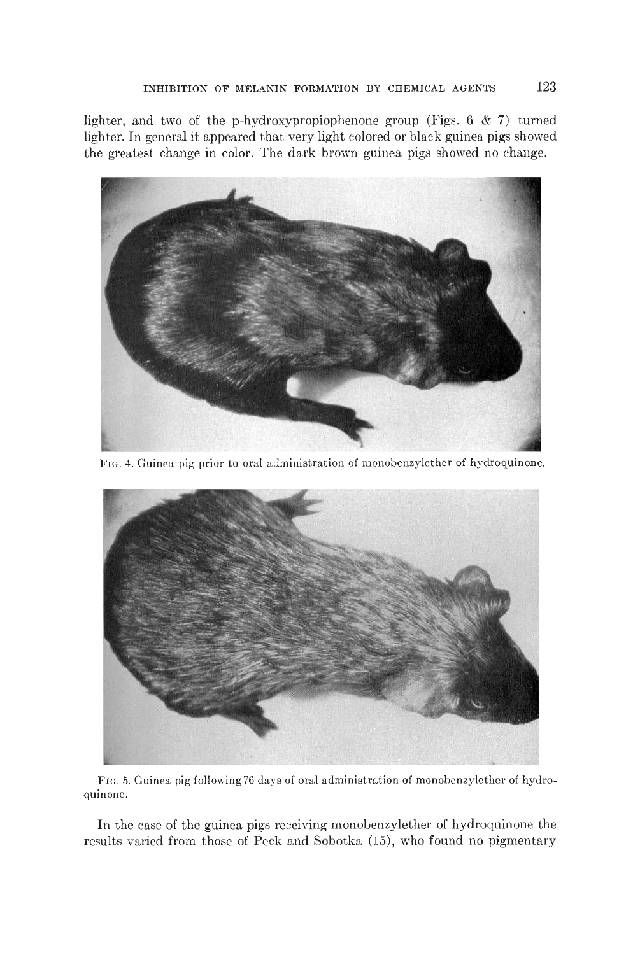lighter, and two of the p-hydroxypropiophenone group (Figs. 6 & 7) turned lighter. In general it appeared that very light colored or black guinea pigs showed the greatest change in color. The dark brown guinea pigs showed no change.



FIG. 4. Guinea pig prior to oral administration of monobenzylether of hydroquinone.



FIG. 5. Guinea pig following 76 days of oral administration of monobenzylether of hydroquinone.

In the case of the guinea pigs receiving monobenzylether of hydroquinone the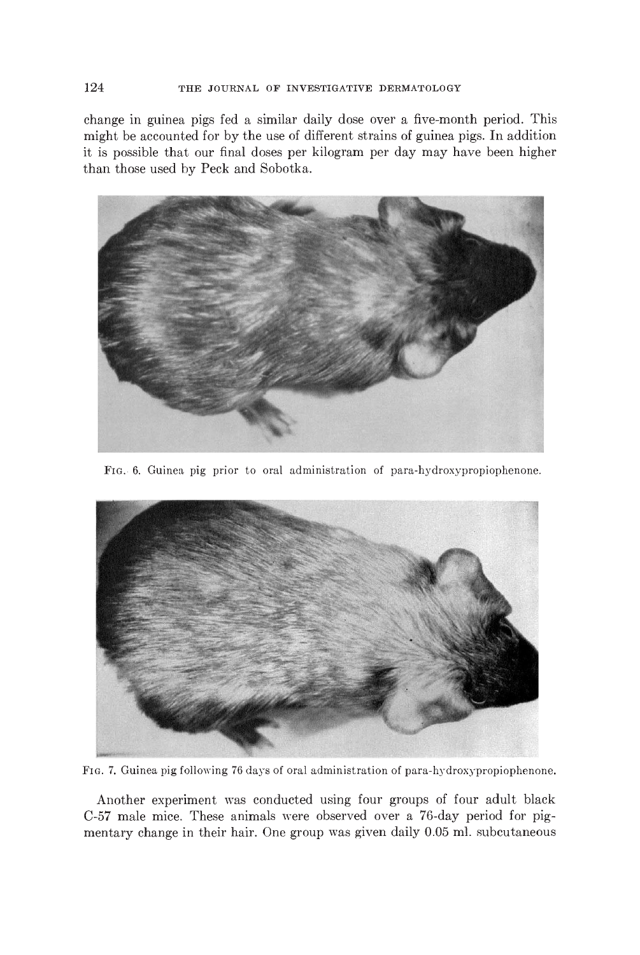change in guinea pigs fed a similar daily dose over a five-month period. This might be accounted for by the use of different strains of guinea pigs. In addition it is possible that our final doses per kilogram per day may have been higher than those used by Peck and Sobotka.



FIG. 6. Guinea pig prior to oral administration of para-hydroxypropiophenone.



Fio. 7. Guinea pig following 76 days of oral administration of para-hydroxypropiophenone.

Another experiment was conducted using four groups of four adult black C-57 male mice. These animals were observed over a 76-day period for pigmentary change in their hair. One group was given daily 0.05 ml. subcutaneous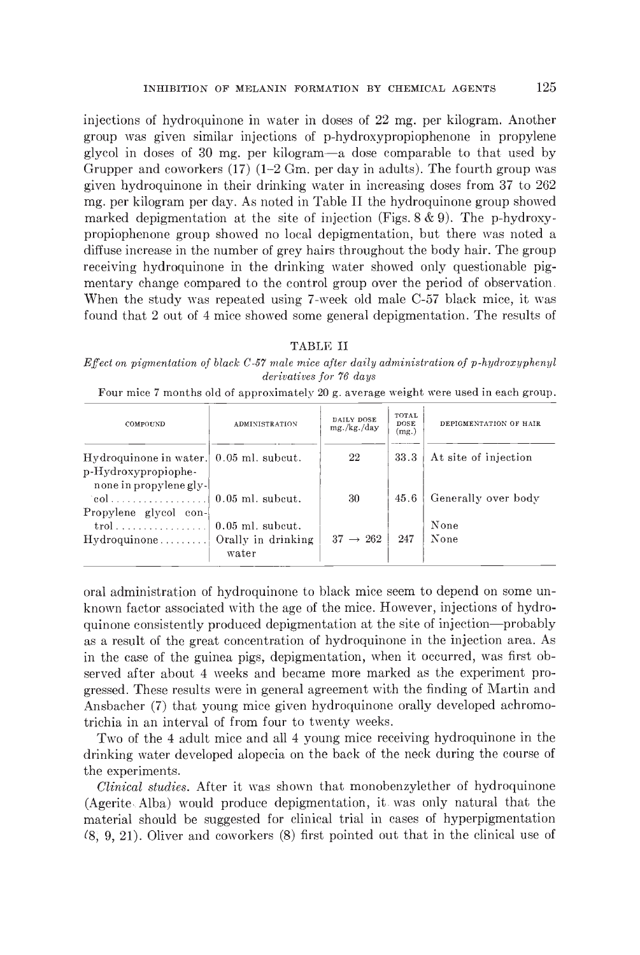injections of hydroquinone in water in doses of 22 mg. per kilogram. Another group was given similar injections of p-hydroxypropiophenone in propylene glycol in doses of 30 mg. per kilogram—a dose comparable to that used by Grupper and coworkers  $(17)$   $(1-2)$  Gm, per day in adults). The fourth group was given hydroquinone in their drinking water in increasing doses from 37 to 262 mg. per kilogram per day. As noted in Table II the hydroquinone group showed marked depigmentation at the site of injection (Figs. 8 & 9). The p-hydroxypropiophenone group showed no local depigmentation, but there was noted a diffuse increase in the number of grey hairs throughout the body hair. The group receiving hydroquinone in the drinking water showed only questionable pig-. mentary change compared to the control group over the period of observation. When the study was repeated using 7-week old male C-57 black mice, it was found that 2 out of 4 mice showed some general depigmentation. The results of

#### TABLE II

 $Effect on$  pigmentation of black  $C$ -57 male mice after daily administration of p-hydroxyphenyl derivatives for 76 days

| Four mice 7 months old of approximately 20 g. average weight were used in each group. |
|---------------------------------------------------------------------------------------|
|---------------------------------------------------------------------------------------|

| COMPOUND                                                                                 | <b>ADMINISTRATION</b> | DAILY DOSE<br>mg./kg./day | TOTAL<br><b>DOSE</b><br>(mg.) | DEPIGMENTATION OF HAIR |
|------------------------------------------------------------------------------------------|-----------------------|---------------------------|-------------------------------|------------------------|
| Hydroquinone in water. 0.05 ml. subcut.<br>p-Hydroxypropiophe-<br>none in propylene gly- |                       | 22                        | 33.3                          | At site of injection   |
| Propylene glycol con-                                                                    |                       | 30                        | 45.6                          | Generally over body    |
|                                                                                          |                       |                           |                               | None                   |
| Hydroquinone  Orally in drinking                                                         | water                 | $37 \rightarrow 262$      | 247                           | None                   |

oral administration of hydroquinone to black mice seem to depend on some unknown factor associated with the age of the mice. However, injections of hydroquinone consistently produced depigmentation at the site of injection—probably as a result of the great concentration of hydroquinone in the injection area. As in the case of the guinea pigs, depigmentation, when it occurred, was first observed after about 4 weeks and became more marked as the experiment progressed. These results were in general agreement with the finding of Martin and Ansbacher (7) that young mice given hydroquinone orally developed achromotrichia in an interval of from four to twenty weeks.

Two of the 4 adult mice and all 4 young mice receiving hydroquinone in the drinking water developed alopecia on the back of the neck during the course of the experiments.

Clinical studies. After it was shown that monobenzylether of hydroquinone (Agerite. Alba) would produce depigmentation, it. was only natural that the material should be suggested for clinical trial in cases of hyperpigmentation  $(8, 9, 21)$ . Oliver and coworkers  $(8)$  first pointed out that in the clinical use of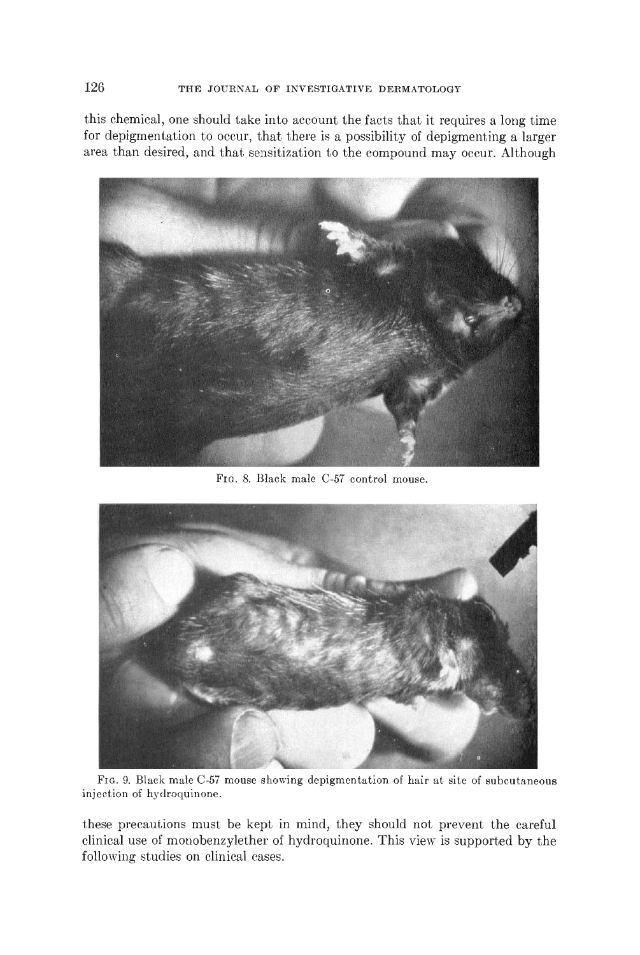this chemical, one should take into account the facts that it requires a long time for depigmentation to occur, that there is a possibility of depigmenting a larger area than desired, and that sensitization to the compound may occur. Although



FIG. 8. Black male C-57 control mouse.



FIG. 9. Black male C-57 mouse showing depigmentation of hair at site of subcutaneous injection of hydroquinone.

these precautions must be kept in mind, they should not prevent the careful clinical use of monobenzylether of hydroquinone. This view is supported by the following studies on clinical cases.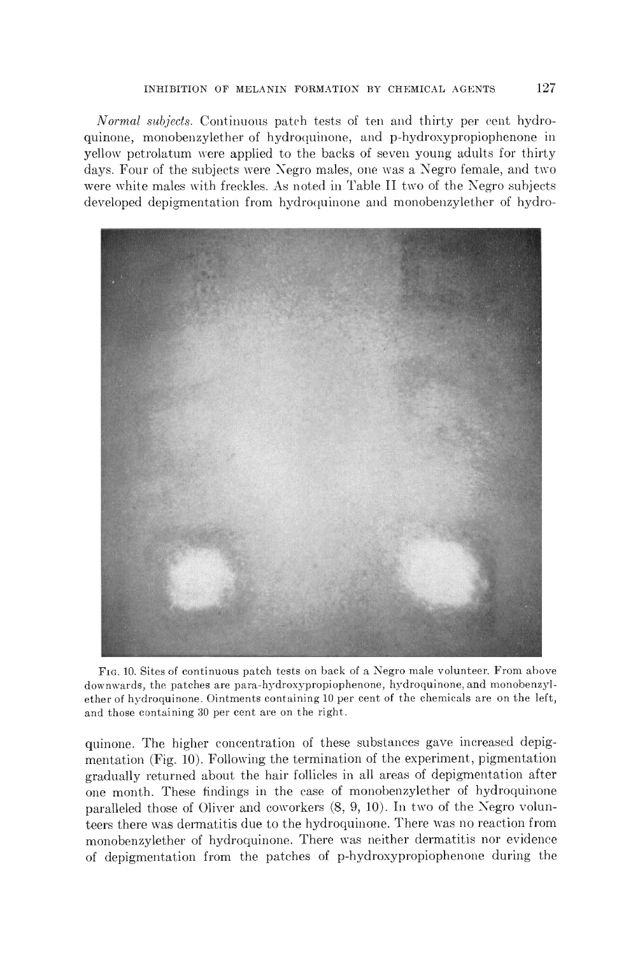Normal subjects. Continuous patch tests of ten and thirty per cent hydroquinone, monobenzylether of hydroquinone, and p-hydroxypropiophenone in yellow petrolatum were applied to the backs of seven young adults for thirty days. Four of the subjects were Negro males, one was a Negro female, and two were white males with freckles. As noted in Table II two of the Negro subjects developed depigmentation from hydroquinone and monobenzylether of hydro-



Fio. 10. Sites of continuous patch tests on back of a Negro male volunteer. From above downwards, the patches are para-hydroxypropiophenone, hydroquinone, and monobenzylether of hydroquinone. Ointments containing 10 per cent of the chemicals are on the left, and those containing 30 per cent are on the right.

quinone. The higher concentration of these substances gave increased depigmentation (Fig. 10). Following the termination of the experiment, pigmentation gradually returned about the hair follicles in all areas of depigmentation after one month. These findings in the case of monohenzylether of hydroquinone paralleled those of Oliver and coworkers (8, 9, 10). In two of the Negro volunteers there was dermatitis due to the hydroquinone. There was no reaction from monobenzylether of hydroquinone. There was neither dermatitis nor evidence of depigmentation from the patches of p-hydroxypropiophenone during the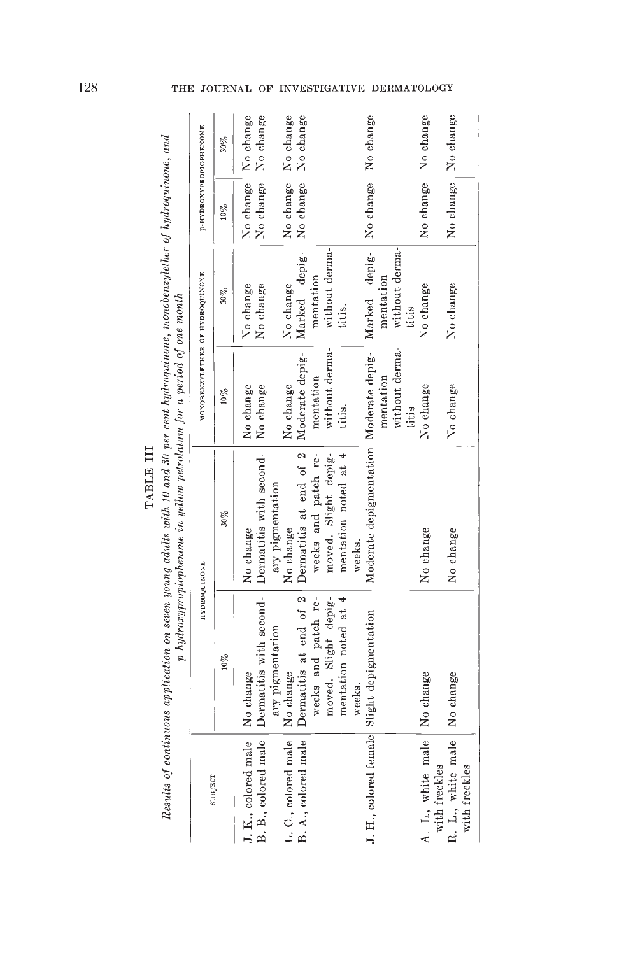|                                            |                                                                     | Results of continuous application on seven young adults with 10 and 30 per cent hydroquinone, monobenzylether of hydroquinone, and<br>$p$ -hydroxypropiophenone in yellow petrolatum for a period of one month |                                       |                                              |                                                |           |
|--------------------------------------------|---------------------------------------------------------------------|----------------------------------------------------------------------------------------------------------------------------------------------------------------------------------------------------------------|---------------------------------------|----------------------------------------------|------------------------------------------------|-----------|
| SUBJECT                                    |                                                                     | HYDROQUINONE                                                                                                                                                                                                   | MOXOBENZYLETHER OF HYDROQUINONE       |                                              | P-HYDROXYPROPIOPHENONE                         |           |
|                                            | $10\%$                                                              | $30\%$                                                                                                                                                                                                         | $10\%$                                | $30\%$                                       | $10\%$                                         | $30\%$    |
| J. K., colored male<br>B. B., colored male | Dermatitis with second-<br>ary pigmentation<br>No change            | Dermatitis with second- No change<br>ary pigmentation<br>No change                                                                                                                                             | No change                             | No change<br>No change                       | No change   No change<br>No change   No change |           |
| L. C., colored male<br>B. A., colored male | Dermatitis at end of 2<br>No change                                 | Dermatitis at end of 2<br>No change                                                                                                                                                                            | Moderate depig-<br>No change          | Marked depig-<br>No change                   | No change   No change<br>No change             | No change |
|                                            | weeks and patch re-<br>moved. Slight depig-<br>mentation noted at 4 | weeks and patch re-<br>moved. Slight depig-<br>mentation noted at 4                                                                                                                                            | without derma-<br>mentation<br>titis. | without derma-<br>mentation<br>titis.        |                                                |           |
|                                            | J. H., colored female Slight depigmentation<br>weeks.               | Moderate depigmentation Moderate depig-<br>weeks.                                                                                                                                                              | without derma-<br>mentation           | without derma-<br>Marked depig-<br>mentation | No change                                      | No change |
| A. L., white male<br>with freekles         | No change                                                           | No change                                                                                                                                                                                                      | No change<br>titis                    | No change<br>titis                           | No change   No change                          |           |
| R. L., white male<br>with freckles         | No change                                                           | No change                                                                                                                                                                                                      | No change                             | No change                                    | No change                                      | No change |

TABLE III

OURNAL OF INVESTIGATIVE DERMATOLO

128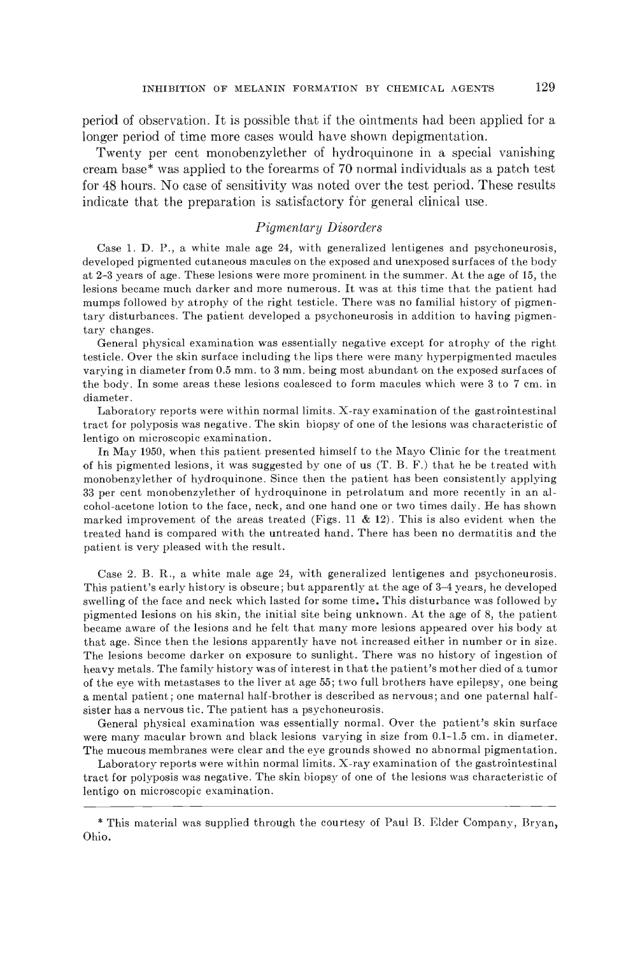period of observation. It is possible that if the ointments had been applied for a longer period of time more cases would have shown depigmentation.

Twenty per cent monobenzylether of hydroquinone in a special vanishing cream base\* was applied to the forearms of 70 normal individuals as a patch test for 48 hours. No case of sensitivity was noted over the test period. These results indicate that the preparation is satisfactory for general clinical use.

# Pigmentary Disorders

Case 1. D. P., a white male age 24, with generalized lentigenes and psychoneurosis, developed pigmented cutaneous macules on the exposed and unexposed surfaces of the body at 2—3 years of age. These lesions were more prominent in the summer. At the age of 15, the lesions became much darker and more numerous. It was at this time that the patient had mumps followed by atrophy of the right testicle. There was no familial history of pigmentary disturbances. The patient developed a psychoneurosis in addition to having pigmentary changes.

General physical examination was essentially negative except for atrophy of the right testicle. Over the skin surface including the lips there were many hyperpigmented macules varying in diameter from 0.5 mm. to 3 mm. being most abundant on the exposed surfaces of the body. In some areas these lesions coalesced to form macules which were 3 to 7 cm. in diameter.

Laboratory reports were within normal limits. X-ray examination of the gastrointestinal tract for polyposis was negative. The skin biopsy of one of the lesions was characteristic of lentigo on microscopic examination.

In May 1950, when this patient presented himself to the Mayo Clinic for the treatment of his pigmented lesions, it was suggested by one of us (T. B. F.) that he be treated with monobenzylether of hydroquinone. Since then the patient has been consistently applying 33 per cent monobenzylether of hydroquinone in petrolatum and more recently in an alcohol-acetone lotion to the face, neck, and one hand one or two times daily. He has shown marked improvement of the areas treated (Figs. 11  $\&$  12). This is also evident when the treated hand is compared with the untreated hand. There has been no dermatitis and the patient is very pleased with the result.

Case 2. B. H., a white male age 24, with generalized lentigenes and psychoneurosis. This patient's early history is obscure; but apparently at the age of 3—4 years, he developed swelling of the face and neck which lasted for some time. This disturbance was followed by pigmented lesions on his skin, the initial site being unknown. At the age of 8, the patient became aware of the lesions and he felt that many more lesions appeared over his body at that age. Since then the lesions apparently have not increased either in number or in size. The lesions become darker on exposure to sunlight. There was no history of ingestion of heavy metals. The family history was of interest in that the patient's mother died of a tumor of the eye with metastases to the liver at age 55; two full brothers have epilepsy, one being a mental patient; one maternal half-brother is described as nervous; and one paternal halfsister has a nervous tic. The patient has a psychoneurosis.

General physical examination was essentially normal. Over the patient's skin surface were many macular brown and black lesions varying in size from 0.1—1.5 cm. in diameter. The mucous membranes were clear and the eye grounds showed no abnormal pigmentation.

Laboratory reports were within normal limits. X-ray examination of the gastrointestinal tract for polyposis was negative. The skin biopsy of one of the lesions was characteristic of lentigo on microscopic examination.

<sup>\*</sup> This material was supplied through the courtesy of Paul B. Elder Company, Bryan, Ohio.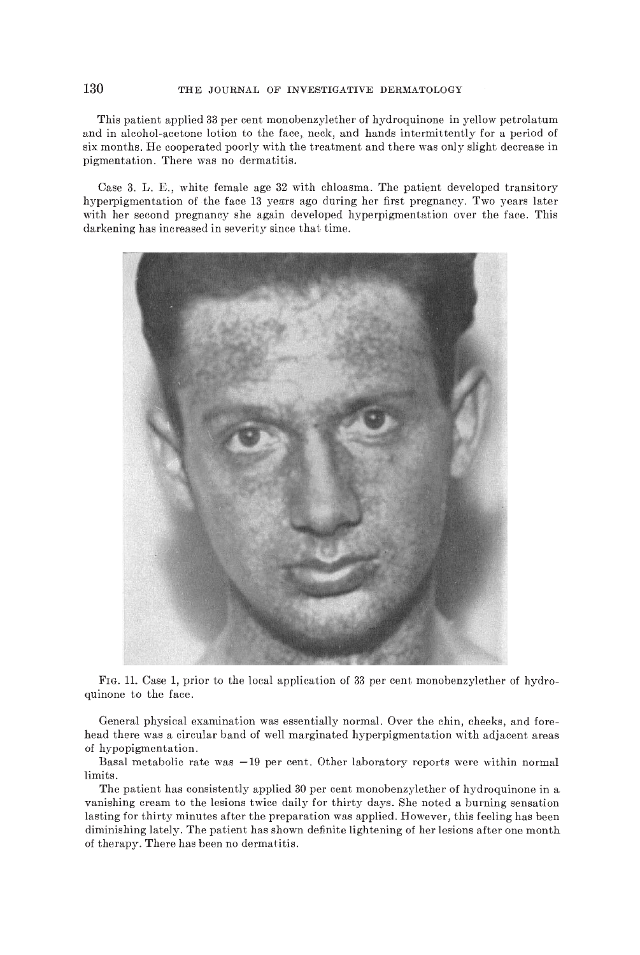## 130 THE JOURNAL OF INVESTIGATIVE DERMATOLOGY

This patient applied 33 per cent monobenzylether of hydroquinone in yellow petrolatum and in alcohol-acetone lotion to the face, neck, and hands intermittently for a period of six months. He cooperated poorly with the treatment and there was only slight decrease in pigmentation. There was no dermatitis.

Case 3. L. E., white female age 32 with chloasma. The patient developed transitory hyperpigmentation of the face 13 years ago during her first pregnancy. Two years later with her second pregnancy she again developed hyperpigmentation over the face. This darkening has increased in severity since that time.



Fin. 11. Case 1, prior to the local application of 33 per cent monobenzylether of hydroquinone to the face.

General physical examination was essentially normal. Over the chin, cheeks, and forehead there was a circular band of well marginated hyperpigmentation with adjacent areas of hypopigmentation.

Basal metabolic rate was —19 per cent. Other laboratory reports were within normal limits.

The patient has consistently applied 30 per cent monobenzylether of hydroquinone in a vanishing cream to the lesions twice daily for thirty days. She noted a burning sensation lasting for thirty minutes after the preparation was applied. However, this feeling has been diminishing lately. The patient has shown definite lightening of her lesions after one month of therapy. There has been no dermatitis.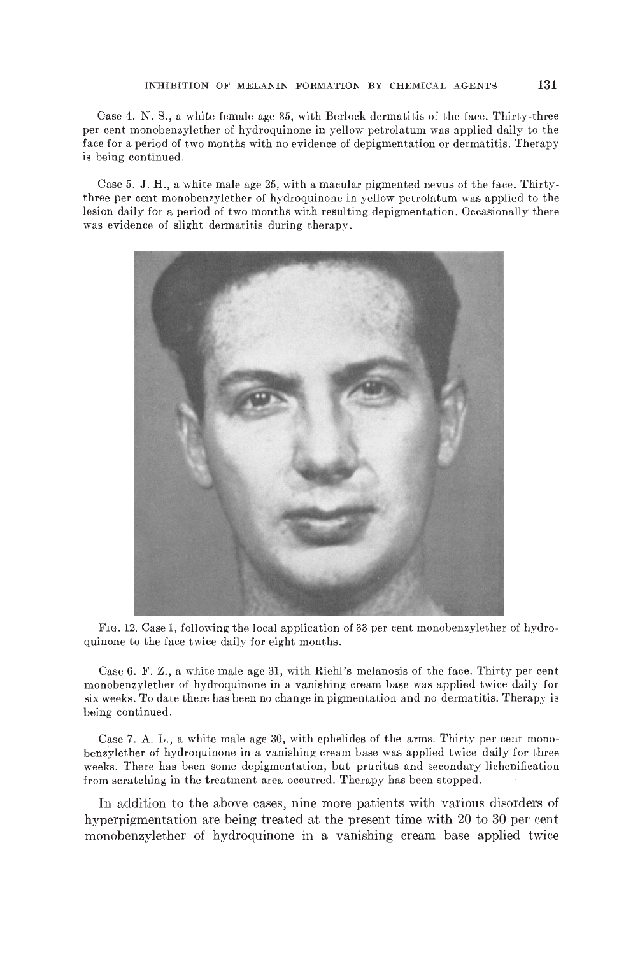Case 4. N. S., a white female age 35, with Berloek dermatitis of the face. Thirty-three per cent monobenrylether of hydroquinone in yellow petrolatnm was applied daily to the face for a period of two months with no evidence of depigmentation or dermatitis. Therapy is being continued.

Case 5. J. H., a white male age 25, with a macular pigmented nevus of the face. Thirtythree per cent monobenzylether of hydroquinone in yellow petrolatum was applied to the lesion daily for a period of two months with resulting depigmentation. Occasionally there was evidence of slight dermatitis during therapy.



Fig. 12. Case 1, following the local application of 33 per cent monobenzylether of hydroquinone to the face twice daily for eight months.

Case 6. F.  $Z$ ., a white male age 31, with Riehl's melanosis of the face. Thirty per cent monobenzylether of hydroquinone in a vanishing cream base was applied twice daily for six weeks. To date there has been no change in pigmentation and no dermatitis. Therapy is being continued.

Case 7. A. L., a white male age 30, with ephelides of the arms. Thirty per cent monobenzylether of hydroquinone in a vanishing cream base was applied twice daily for three weeks. There has been some depigmentation, but pruritus and secondary liehenification from scratching in the treatment area occurred. Therapy has been stopped.

In addition to the above cases, nine more patients with various disorders of hyperpigmentation are being treated at the present time with 20 to 30 per cent monobenzylether of hydroquinone in a vanishing cream base applied twice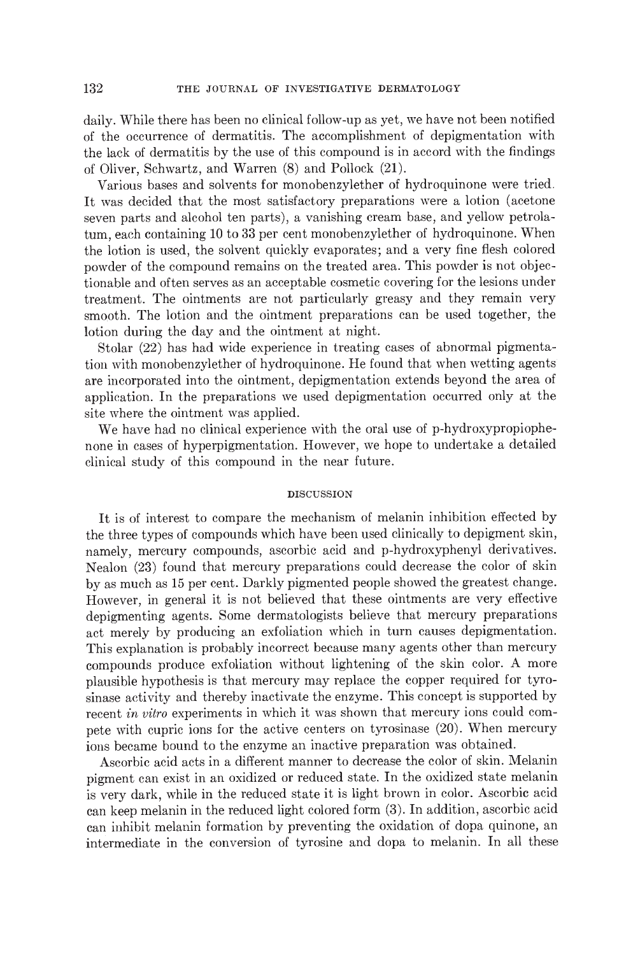daily. While there has been no clinical follow-up as yet, we have not been notified of the occurrence of dermatitis. The accomplishment of depigmentation with the lack of dermatitis by the use of this compound is in accord with the findings of Oliver, Schwartz, and Warren (8) and Pollock (21).

Various bases and solvents for monobenzylether of hydroquinone were tried. It was decided that the most satisfactory preparations were a lotion (acetone seven parts and alcohol ten parts), a vanishing cream base, and yellow petrolatum, each containing 10 to 33 per cent monobenzylether of hydroquinone. When the lotion is used, the solvent quickly evaporates; and a very fine flesh colored powder of the compound remains on the treated area. This powder is not objectionable and often serves as an acceptable cosmetic covering for the lesions under treatment. The ointments are not particularly greasy and they remain very smooth. The lotion and the ointment preparations can be used together, the lotion during the day and the ointment at night.

Stolar (22) has had wide experience in treating cases of abnormal pigmentation with monobenzylether of hydroquinone. He found that when wetting agents are incorporated into the ointment, depigmentation extends beyond the area of application. In the preparations we used depigmentation occurred only at the site where the ointment was applied.

We have had no clinical experience with the oral use of p-hydroxypropiophenone in cases of hyperpigmentation. However, we hope to undertake a detailed clinical study of this compound in the near future.

#### DISCUSSION

It is of interest to compare the mechanism of melanin inhibition effected by the three types of compounds which have been used clinically to depigment skin, namely, mercury compounds, ascorbic acid and p-hydroxyphenyl derivatives. Nealon (23) found that mercury preparations could decrease the color of skin by as much as 15 per cent. Darkly pigmented people showed the greatest change. However, in general it is not believed that these ointments are very effective depigmenting agents. Some dermatologists believe that mercury preparations act merely by producing an exfoliation which in turn causes depigmentation. This explanation is probably incorrect because many agents other than mercury compounds produce exfoliation without lightening of the skin color. A more plausible hypothesis is that mercury may replace the copper required for tyrosinase activity and thereby inactivate the enzyme. This concept is supported by recent in vitro experiments in which it was shown that mercury ions could compete with cupric ions for the active centers on tyrosinase (20). When mercury ions became bound to the enzyme an inactive preparation was obtained.

Ascorbic acid acts in a different manner to decrease the color of skin. Melanin pigment can exist in an oxidized or reduced state. In the oxidized state melanin is very dark, while in the reduced state it is light brown in color. Ascorbic acid can keep melanin in the reduced light colored form (3). In addition, ascorbic acid can inhibit melanin formation by preventing the oxidation of dopa quinone, an intermediate in the conversion of tyrosine and dopa to melanin. In all these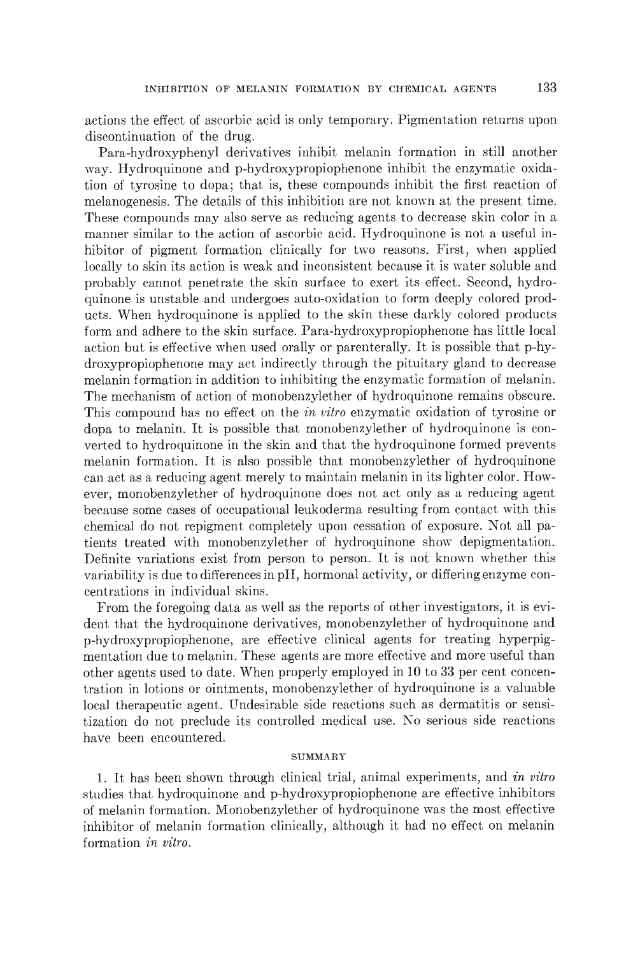actions the effect of ascorbic acid is oniy temporary. Pigmentation returns upon discontinuation of the drug.

Para-hydroxyphenyl derivatives inhibit melanin formation in still another way. Hydroquinone and p-hydroxypropiophenone inhibit the enzymatic oxidation of tyrosine to dopa; that is, these compounds inhibit the first reaction of melanogenesis. The details of this inhibition are not known at the present time. These compounds may also serve as reducing agents to decrease skin color in a manner similar to the action of ascorbic acid. Hydroquinone is not a useful inhibitor of pigment formation clinically for two reasons. First, when applied locally to skin its action is weak and inconsistent because it is water soluble and probably cannot penetrate the skin surface to exert its effect. Second, hydroquinone is unstable and undergoes auto-oxidation to form deeply colored products. When hydroquinone is applied to the skin these darkly colored products form and adhere to the skin surface. Para-hydroxypropiophenone has little local action but is effective when used orally or parenterally. It is possible that p-hydroxypropiophenone may act indirectly through the pituitary gland to decrease melanin formation in addition to inhibiting the enzymatic formation of melanin. The mechanism of action of monobenzylether of hydroquinone remains obscure. This compound has no effect on the *in vitro* enzymatic oxidation of tyrosine or dopa to melanin. It is possible that monobenzylether of hydroquinone is converted to hydroquinone in the skin and that the hydroquinone formed prevents melanin formation. It is also possible that monobenzylether of hydroquinone can act as a reducing agent merely to maintain melanin in its lighter color. However, monobenzylether of hydroquinone does not act only as a reducing agent because some cases of occupational leukoderma resulting from contact with this chemical do not repigment completely upon cessation of exposure. Not all patients treated with monobenzylether of hydroquinone show depigmentation. Definite variations exist from person to person. It is not known whether this variability is due to differences in pH, hormonal activity, or differing enzyme concentrations in individual skins.

From the foregoing data as well as the reports of other investigators, it is evident that the hydroquinone derivatives, monobenzylether of hydroquinone and p-hydroxypropiophenone, are effective clinical agents for treating hyperpigmentation due to melanin. These agents are more effective and more useful than other agents used to date. When properly employed in 10 to 33 per cent concentration in lotions or ointments, monobenzylether of hydroquinone is a valuable local therapeutic agent. Undesirable side reactions such as dermatitis or sensitization do not preclude its controlled medical use. No serious side reactions have been encountered.

## SUMMARY

1. It has been shown through clinical trial, animal experiments, and in vitro studies that hydroquinone and p-hydroxypropiophenone are effective inhibitors of melanin formation. Monobenzylether of hydroquinone was the most effective inhibitor of melanin formation clinically, although it had no effect on melanin formation in vitro.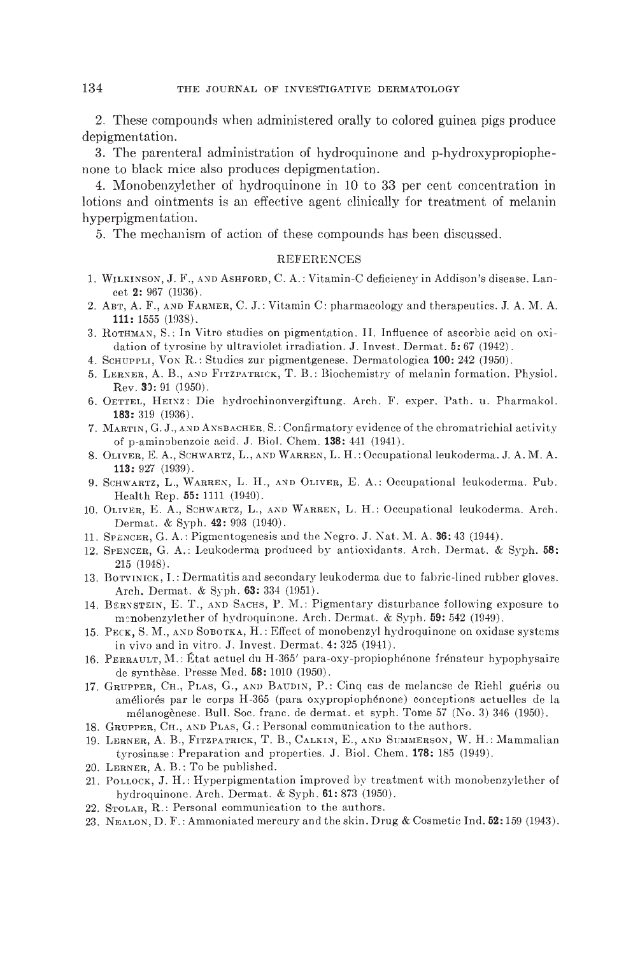2. These compounds when administered orally to colored guinea pigs produce depigmentation.

3. The parenteral administration of hydroquinone and p-hydroxypropiophenone to black mice also produces depigmentation.

4. Monobenzylether of hydroquinone in 10 to 33 per cent concentration in lotions and ointments is an effective agent clinically for treatment of melanin hyperpigmentation.

5. The mechanism of action of these compounds has been discussed.

### REFERENCES

- 1. WILKINSON, J. F., AND ASHFORD, C. A.: Vitamin-C deficiency in Addison's disease. Lancet 2: 967 (1936).
- 2. ART, A. F., AND FARMER, C. J.: Vitamin C: pharmacology and therapeutics. J. A. M. A. 111: 1555 (1938).
- 3. ROTHMAN, S.: In Vitro studies on pigmentation. II. Influence of ascorbic acid on oxidation of tyrosine by ultraviolet irradiation. J. Invest. Dermat. 5: 67 (1942).
- 4. SCHUPPLI, VON R.: Studies zur pigmentgenese. Dermatologica 100: 242 (1950).
- 5. LERNER, A. B., AND FITZPATRICK, T. B.: Biochemistry of melanin formation. Physiol. Rev. 3): 91 (1950).
- 6. OETTEL, HEINZ: Die hydrochinonvergiftung. Arch. F. exper. Path. u. Pharmakol. 183: 319 (1936).
- 7. MARTIN, C. J., AND ANSBACHER, S.: Confirmatory evidence of the chromatrichial activity of p-aminabenzoic acid. J. Biol. Chem. 138: 441 (1941).
- S. OLIVER, E. A., SCHWARTZ, L., AND WARREN, L. H.: Occupational leukoderma. J. A. M. A. 113: 927 (1939).
- 9. SCHWARTZ, L., WARREN, L. H., AND OLIVER, E. A.: Occupational leukoderma. Pub. Health Rep. 55: 1111 (1940).
- 10. OLIVER, E. A., SCHWARTZ, L., AND WARREN, L. H.: Occupational leukoderma. Arch. Dermat. & Syph. 42: 993 (1940).
- 11. SPENCER, C. A.: Pigmentogenesis and the Negro. J. Nat. M. A. 36:43 (1944).
- 12. SPENCER, C. A.: Leukoderma produced by antioxidants. Arch. Dermat. & Syph. 58: 215 (1948).
- 13. BOTVINICK, I.: Dermatitis and secondary leukoderma due to fabric-lined rubber gloves. Arch. Dermat. & Syph. 63: 334 (1951).
- 14. BERNsTEIN, E. T., AND SACHS, P. M.: Pigmentary disturbance fDllowing exposure to menobenzylether of hydroquinone. Arch. Dermat. & Syph. 59: 542 (1949).
- 15. PECK, S. M., AND SOBOTKA, H.: Effect of monobenzyl hydroquinone on oxidase systems in viva and in vitro. J. Invest. Dermat. 4: 325 (1941).
- 16. PRERAULT, M.: Etat actuel du H-365' para-oxy-propiophónone frénateur hypophysaire de synthêse. Presse Med. 58: 1010 (1950).
- 17. GRUPPER, CH., PLAS, G., AND BAUDIN, P.: Cinq cas de melancse de Riehl guéris ou améliorés par le corps R-365 (para oxypropiophénone) conceptions actuelles de Ia mélanogènese. Bull. Soc. franc. de dermat. et syph. Tome 57 (No. 3) 346 (1950).
- 18. CRUPPER, CII., AND PLAS, C.: Personal communication to the authors.
- 19. LERNER, A. B., FITZPATRICK, T. B., CALKIN, E., AND SUMMERSON, W. H.: Mammalian tyrosiaase: Preparation and properties. J. Biol. Chem. 178: 185 (1949).
- 20. LERNEE, A. B.: To be published.
- 21. POLLOCK, J. H.: Hyperpigmentation improved by treatment with monobenzylether of hydroquinone. Arch. Dermat. & Syph. 61: 873 (1950).
- 22. STOLAR, R.: Personal communication to the authors.
- 23. NEALON, D. F.: Ammoniated mercury and the skin. Drug & Cosmetic Ind. 52: 159 (1943).